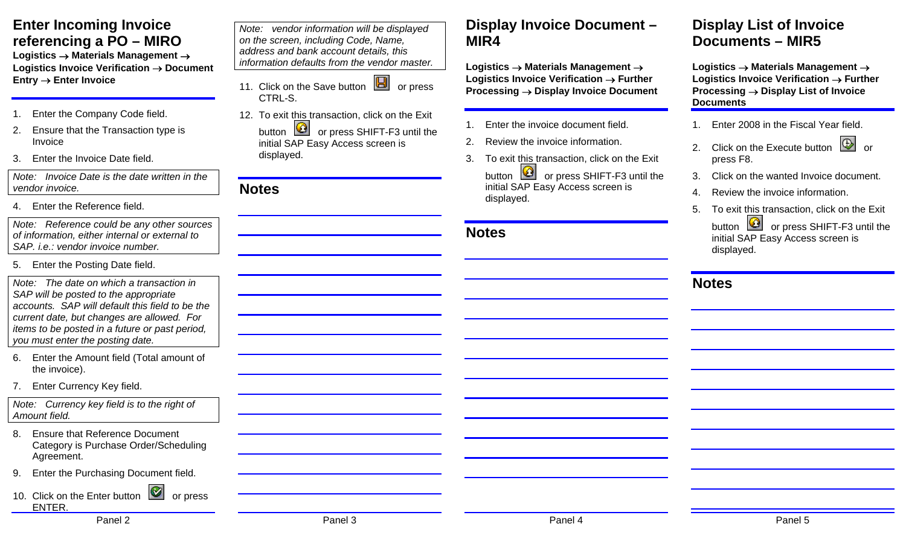# **Enter Incoming Invoice referencing a PO – MIRO**

**Logistics** → **Materials Management** <sup>→</sup> **Logistics Invoice Verification** → **Document Entry** → **Enter Invoice** 

- 1. Enter the Company Code field.
- 2. Ensure that the Transaction type is Invoice
- 3. Enter the Invoice Date field.

*Note: Invoice Date is the date written in the vendor invoice.* 

4. Enter the Reference field.

*Note: Reference could be any other sources of information, either internal or external to SAP. i.e.: vendor invoice number.* 

5. Enter the Posting Date field.

*Note: The date on which a transaction in SAP will be posted to the appropriate accounts. SAP will default this field to be the current date, but changes are allowed. For items to be posted in a future or past period, you must enter the posting date.* 

- 6. Enter the Amount field (Total amount of the invoice).
- 7. Enter Currency Key field.

*Note: Currency key field is to the right of Amount field.* 

- 8. Ensure that Reference Document Category is Purchase Order/Scheduling Agreement.
- 9. Enter the Purchasing Document field.
- 10. Click on the Enter button **or** or press ENTER.

Panel 2 Panel 3 Panel 4 Panel 5

*Note: vendor information will be displayed on the screen, including Code, Name, address and bank account details, this information defaults from the vendor master.* 

- 11. Click on the Save button  $\Box$  or press CTRL-S.
- 12. To exit this transaction, click on the Exit button  $\Box$  or press SHIFT-F3 until the initial SAP Easy Access screen is displayed.

#### **Notes**

### **Display Invoice Document – MIR4**

**Logistics** → **Materials Management** <sup>→</sup> **Logistics Invoice Verification** → **Further Processing** → **Display Invoice Document** 

- 1. Enter the invoice document field.
- 2. Review the invoice information.
- 3. To exit this transaction, click on the Exit button  $\boxed{Q}$  or press SHIFT-F3 until the initial SAP Easy Access screen is displayed.

**Notes** 

### **Display List of Invoice Documents – MIR5**

**Logistics** → **Materials Management** <sup>→</sup> **Logistics Invoice Verification** → **Further Processing** → **Display List of Invoice Documents** 

- 1. Enter 2008 in the Fiscal Year field.
- 2. Click on the Execute button 2. Click on the Execute button press F8.
- 3. Click on the wanted Invoice document.
- 4. Review the invoice information.
- 5. To exit this transaction, click on the Exit button  $\Box$  or press SHIFT-F3 until the initial SAP Easy Access screen is displayed.

### **Notes**